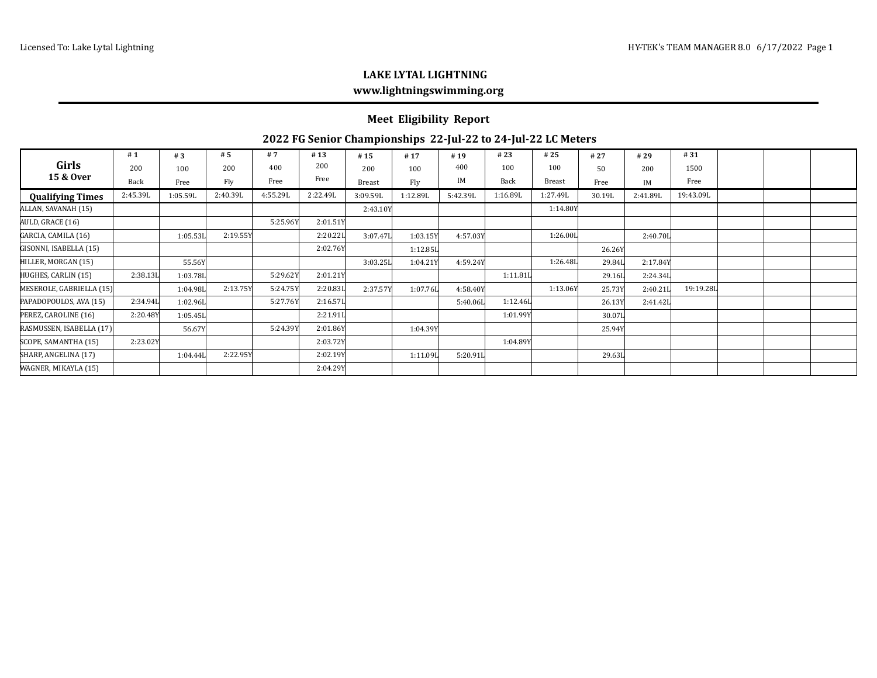## **LAKE LYTAL LIGHTNING www.lightningswimming.org**

## **Meet Eligibility Report**

## **2022 FG Senior Championships 22-Jul-22 to 24-Jul-22 LC Meters**

| Girls<br>15 & Over       | #1          | #3       | # 5      | # 7      | #13      | #15      | #17      | #19      | #23      | #25           | #27    | #29      | #31       |  |  |
|--------------------------|-------------|----------|----------|----------|----------|----------|----------|----------|----------|---------------|--------|----------|-----------|--|--|
|                          | 200         | 100      | 200      | 400      | 200      | 200      | 100      | 400      | 100      | 100           | 50     | 200      | 1500      |  |  |
|                          | <b>Back</b> | Free     | Fly      | Free     | Free     | Breast   | Fly      | IM       | Back     | <b>Breast</b> | Free   | IM       | Free      |  |  |
| <b>Qualifying Times</b>  | 2:45.39L    | 1:05.59L | 2:40.39L | 4:55.29L | 2:22.49L | 3:09.59L | 1:12.89L | 5:42.39L | 1:16.89L | 1:27.49L      | 30.19L | 2:41.89L | 19:43.09L |  |  |
| ALLAN, SAVANAH (15)      |             |          |          |          |          | 2:43.10Y |          |          |          | 1:14.80Y      |        |          |           |  |  |
| AULD, GRACE (16)         |             |          |          | 5:25.96Y | 2:01.51Y |          |          |          |          |               |        |          |           |  |  |
| GARCIA, CAMILA (16)      |             | 1:05.53L | 2:19.55Y |          | 2:20.221 | 3:07.47L | 1:03.15Y | 4:57.03Y |          | 1:26.00L      |        | 2:40.70L |           |  |  |
| GISONNI, ISABELLA (15)   |             |          |          |          | 2:02.76Y |          | 1:12.85L |          |          |               | 26.26Y |          |           |  |  |
| HILLER, MORGAN (15)      |             | 55.56Y   |          |          |          | 3:03.25L | 1:04.21Y | 4:59.24Y |          | 1:26.48L      | 29.84L | 2:17.84Y |           |  |  |
| HUGHES, CARLIN (15)      | 2:38.13L    | 1:03.78L |          | 5:29.62Y | 2:01.21Y |          |          |          | 1:11.81L |               | 29.16L | 2:24.34L |           |  |  |
| MESEROLE, GABRIELLA (15) |             | 1:04.98L | 2:13.75Y | 5:24.75Y | 2:20.83L | 2:37.57Y | 1:07.76L | 4:58.40Y |          | 1:13.06Y      | 25.73Y | 2:40.21L | 19:19.28L |  |  |
| PAPADOPOULOS, AVA (15)   | 2:34.94L    | 1:02.96L |          | 5:27.76Y | 2:16.57L |          |          | 5:40.06L | 1:12.46L |               | 26.13Y | 2:41.42L |           |  |  |
| PEREZ, CAROLINE (16)     | 2:20.48Y    | 1:05.45L |          |          | 2:21.911 |          |          |          | 1:01.99Y |               | 30.07L |          |           |  |  |
| RASMUSSEN, ISABELLA (17) |             | 56.67Y   |          | 5:24.39Y | 2:01.86Y |          | 1:04.39Y |          |          |               | 25.94Y |          |           |  |  |
| SCOPE, SAMANTHA (15)     | 2:23.02Y    |          |          |          | 2:03.72Y |          |          |          | 1:04.89Y |               |        |          |           |  |  |
| SHARP, ANGELINA (17)     |             | 1:04.44L | 2:22.95Y |          | 2:02.19Y |          | 1:11.09L | 5:20.91L |          |               | 29.63L |          |           |  |  |
| WAGNER, MIKAYLA (15)     |             |          |          |          | 2:04.29Y |          |          |          |          |               |        |          |           |  |  |